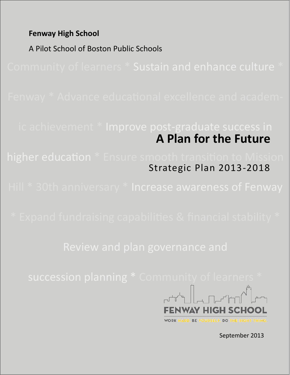**Fenway High School** 

A Pilot School of Boston Public Schools

# **A Plan for the Future** ic achievement \* Improve post-graduate success in

Strategic Plan 2013-2018



**YOURSELF. DO THE RIGHT THING.** BE

September 2013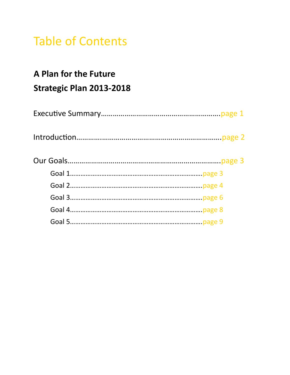# Table of Contents

## **A Plan for the Future**

## **Strategic Plan 2013-2018**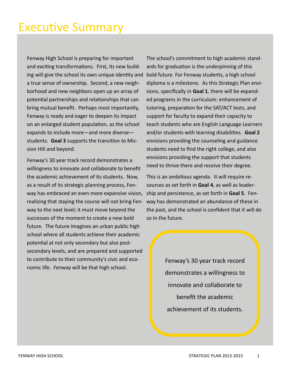# Executive Summary

Fenway High School is preparing for important and exciting transformations. First, its new building will give the school its own unique identity and a true sense of ownership. Second, a new neighborhood and new neighbors open up an array of potential partnerships and relationships that can bring mutual benefit. Perhaps most importantly, Fenway is ready and eager to deepen its impact on an enlarged student population, as the school expands to include more—and more diverse students. **Goal 3** supports the transition to Mission Hill and beyond.

Fenway's 30 year track record demonstrates a willingness to innovate and collaborate to benefit the academic achievement of its students. Now, as a result of its strategic planning process, Fenway has embraced an even more expansive vision, realizing that staying the course will not bring Fenway to the next level; it must move beyond the successes of the moment to create a new bold future. The future imagines an urban public high school where all students achieve their academic potential at not only secondary but also postsecondary levels, and are prepared and supported to contribute to their community's civic and economic life. Fenway will be that high school.

The school's commitment to high academic standards for graduation is the underpinning of this bold future. For Fenway students, a high school diploma is a milestone. As this Strategic Plan envisions, specifically in **Goal 1**, there will be expanded programs in the curriculum: enhancement of tutoring, preparation for the SAT/ACT tests, and support for faculty to expand their capacity to teach students who are English Language Learners and/or students with learning disabilities. **Goal 2**  envisions providing the counseling and guidance students need to find the right college, and also envisions providing the support that students need to thrive there and receive their degree.

This is an ambitious agenda. It will require resources as set forth in **Goal 4**, as well as leadership and persistence, as set forth in **Goal 5**. Fenway has demonstrated an abundance of these in the past, and the school is confident that it will do so in the future.

> Fenway's 30 year track record demonstrates a willingness to innovate and collaborate to benefit the academic achievement of its students.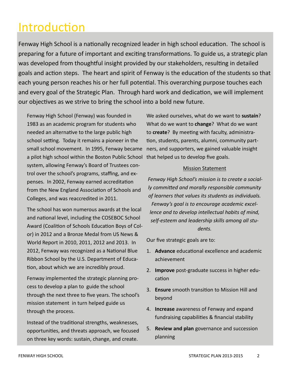# Introduction

Fenway High School is a nationally recognized leader in high school education. The school is preparing for a future of important and exciting transformations. To guide us, a strategic plan was developed from thoughtful insight provided by our stakeholders, resulting in detailed goals and action steps. The heart and spirit of Fenway is the education of the students so that each young person reaches his or her full potential. This overarching purpose touches each and every goal of the Strategic Plan. Through hard work and dedication, we will implement our objectives as we strive to bring the school into a bold new future.

Fenway High School (Fenway) was founded in 1983 as an academic program for students who needed an alternative to the large public high school setting. Today it remains a pioneer in the small school movement. In 1995, Fenway became a pilot high school within the Boston Public School that helped us to develop five goals. system, allowing Fenway's Board of Trustees control over the school's programs, staffing, and expenses. In 2002, Fenway earned accreditation from the New England Association of Schools and Colleges, and was reaccredited in 2011.

The school has won numerous awards at the local and national level, including the COSEBOC School Award (Coalition of Schools Education Boys of Color) in 2012 and a Bronze Medal from US News & World Report in 2010, 2011, 2012 and 2013. In 2012, Fenway was recognized as a National Blue Ribbon School by the U.S. Department of Education, about which we are incredibly proud.

Fenway implemented the strategic planning process to develop a plan to guide the school through the next three to five years. The school's mission statement in turn helped guide us through the process.

Instead of the traditional strengths, weaknesses, opportunities, and threats approach, we focused on three key words: sustain, change, and create.

We asked ourselves, what do we want to **sustain**? What do we want to **change**? What do we want to **create**? By meeting with faculty, administration, students, parents, alumni, community partners, and supporters, we gained valuable insight

#### Mission Statement

*Fenway High School's mission is to create a socially committed and morally responsible community of learners that values its students as individuals. Fenway's goal is to encourage academic excellence and to develop intellectual habits of mind, self-esteem and leadership skills among all students.*

Our five strategic goals are to:

- 1. **Advance** educational excellence and academic achievement
- 2. **Improve** post-graduate success in higher education
- 3. **Ensure** smooth transition to Mission Hill and beyond
- 4. **Increase** awareness of Fenway and expand fundraising capabilities & financial stability
- 5. **Review and plan** governance and succession planning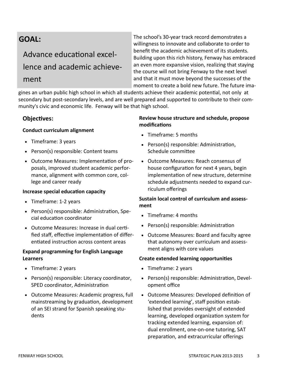## Advance educational excellence and academic achieve-

## ment

The school's 30-year track record demonstrates a willingness to innovate and collaborate to order to benefit the academic achievement of its students. Building upon this rich history, Fenway has embraced an even more expansive vision, realizing that staying the course will not bring Fenway to the next level and that it must move beyond the successes of the moment to create a bold new future. The future ima-

gines an urban public high school in which all students achieve their academic potential, not only at secondary but post-secondary levels, and are well prepared and supported to contribute to their community's civic and economic life. Fenway will be that high school.

## **Objectives:**

#### **Conduct curriculum alignment**

- Timeframe: 3 years
- Person(s) responsible: Content teams
- Outcome Measures: Implementation of proposals, improved student academic performance, alignment with common core, college and career ready

### **Increase special education capacity**

- Timeframe: 1-2 years
- Person(s) responsible: Administration, Special education coordinator
- Outcome Measures: Increase in dual certified staff, effective implementation of differentiated instruction across content areas

#### **Expand programming for English Language Learners**

- Timeframe: 2 years
- Person(s) responsible: Literacy coordinator, SPED coordinator, Administration
- Outcome Measures: Academic progress, full mainstreaming by graduation, development of an SEI strand for Spanish speaking students

### **Review house structure and schedule, propose modifications**

- Timeframe: 5 months
- Person(s) responsible: Administration, Schedule committee
- Outcome Measures: Reach consensus of house configuration for next 4 years, begin implementation of new structure, determine schedule adjustments needed to expand curriculum offerings

### **Sustain local control of curriculum and assessment**

- Timeframe: 4 months
- Person(s) responsible: Administration
- Outcome Measures: Board and faculty agree that autonomy over curriculum and assessment aligns with core values

#### **Create extended learning opportunities**

- Timeframe: 2 years
- Person(s) responsible: Administration, Development office
- Outcome Measures: Developed definition of 'extended learning', staff position established that provides oversight of extended learning, developed organization system for tracking extended learning, expansion of: dual enrollment, one-on-one tutoring, SAT preparation, and extracurricular offerings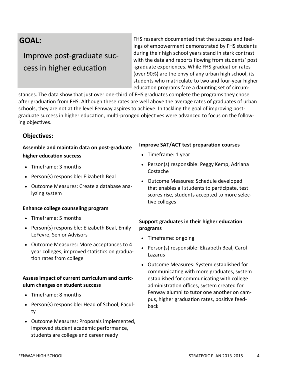## Improve post-graduate success in higher education

FHS research documented that the success and feelings of empowerment demonstrated by FHS students during their high school years stand in stark contrast with the data and reports flowing from students' post -graduate experiences. While FHS graduation rates (over 90%) are the envy of any urban high school, its students who matriculate to two and four-year higher education programs face a daunting set of circum-

stances. The data show that just over one-third of FHS graduates complete the programs they chose after graduation from FHS. Although these rates are well above the average rates of graduates of urban schools, they are not at the level Fenway aspires to achieve. In tackling the goal of improving postgraduate success in higher education, multi-pronged objectives were advanced to focus on the following objectives.

## **Objectives:**

## **Assemble and maintain data on post-graduate higher education success**

- Timeframe: 3 months
- Person(s) responsible: Elizabeth Beal
- Outcome Measures: Create a database analyzing system

### **Enhance college counseling program**

- Timeframe: 5 months
- Person(s) responsible: Elizabeth Beal, Emily LeFevre, Senior Advisors
- Outcome Measures: More acceptances to 4 year colleges, improved statistics on graduation rates from college

## **Assess impact of current curriculum and curriculum changes on student success**

- Timeframe: 8 months
- Person(s) responsible: Head of School, Faculty
- Outcome Measures: Proposals implemented, improved student academic performance, students are college and career ready

### **Improve SAT/ACT test preparation courses**

- Timeframe: 1 year
- Person(s) responsible: Peggy Kemp, Adriana Costache
- Outcome Measures: Schedule developed that enables all students to participate, test scores rise, students accepted to more selective colleges

## **Support graduates in their higher education programs**

- Timeframe: ongoing
- Person(s) responsible: Elizabeth Beal, Carol Lazarus
- Outcome Measures: System established for communicating with more graduates, system established for communicating with college administration offices, system created for Fenway alumni to tutor one another on campus, higher graduation rates, positive feedback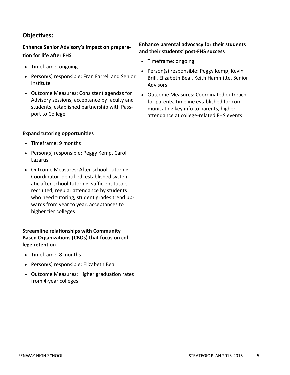## **Objectives:**

## **Enhance Senior Advisory's impact on preparation for life after FHS**

- Timeframe: ongoing
- Person(s) responsible: Fran Farrell and Senior Institute
- Outcome Measures: Consistent agendas for Advisory sessions, acceptance by faculty and students, established partnership with Passport to College

#### **Expand tutoring opportunities**

- Timeframe: 9 months
- Person(s) responsible: Peggy Kemp, Carol Lazarus
- Outcome Measures: After-school Tutoring Coordinator identified, established systematic after-school tutoring, sufficient tutors recruited, regular attendance by students who need tutoring, student grades trend upwards from year to year, acceptances to higher tier colleges

## **Streamline relationships with Community Based Organizations (CBOs) that focus on college retention**

- Timeframe: 8 months
- Person(s) responsible: Elizabeth Beal
- Outcome Measures: Higher graduation rates from 4-year colleges

### **Enhance parental advocacy for their students and their students' post-FHS success**

- Timeframe: ongoing
- Person(s) responsible: Peggy Kemp, Kevin Brill, Elizabeth Beal, Keith Hammitte, Senior Advisors
- Outcome Measures: Coordinated outreach for parents, timeline established for communicating key info to parents, higher attendance at college-related FHS events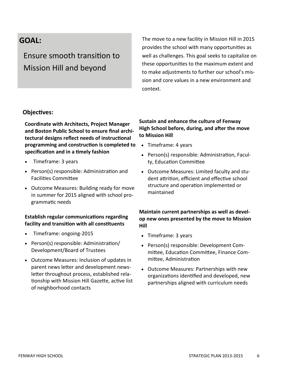Ensure smooth transition to Mission Hill and beyond

The move to a new facility in Mission Hill in 2015 provides the school with many opportunities as well as challenges. This goal seeks to capitalize on these opportunities to the maximum extent and to make adjustments to further our school's mission and core values in a new environment and context.

## **Objectives:**

**Coordinate with Architects, Project Manager and Boston Public School to ensure final architectural designs reflect needs of instructional programming and construction is completed to specification and in a timely fashion** 

- Timeframe: 3 years
- Person(s) responsible: Administration and Facilities Committee
- Outcome Measures: Building ready for move in summer for 2015 aligned with school programmatic needs

### **Establish regular communications regarding facility and transition with all constituents**

- Timeframe: ongoing-2015
- Person(s) responsible: Administration/ Development/Board of Trustees
- Outcome Measures: Inclusion of updates in parent news letter and development newsletter throughout process, established relationship with Mission Hill Gazette, active list of neighborhood contacts

## **Sustain and enhance the culture of Fenway High School before, during, and after the move to Mission Hill**

- Timeframe: 4 years
- Person(s) responsible: Administration, Faculty, Education Committee
- Outcome Measures: Limited faculty and student attrition, efficient and effective school structure and operation implemented or maintained

### **Maintain current partnerships as well as develop new ones presented by the move to Mission Hill**

- Timeframe: 3 years
- Person(s) responsible: Development Committee, Education Committee, Finance Committee, Administration
- Outcome Measures: Partnerships with new organizations identified and developed, new partnerships aligned with curriculum needs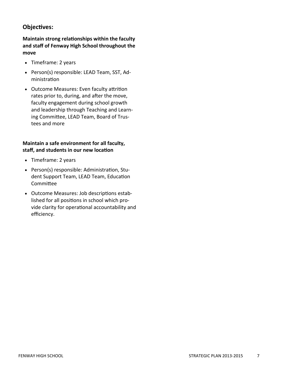## **Objectives:**

**Maintain strong relationships within the faculty and staff of Fenway High School throughout the move**

- Timeframe: 2 years
- Person(s) responsible: LEAD Team, SST, Administration
- Outcome Measures: Even faculty attrition rates prior to, during, and after the move, faculty engagement during school growth and leadership through Teaching and Learning Committee, LEAD Team, Board of Trustees and more

#### **Maintain a safe environment for all faculty, staff, and students in our new location**

- Timeframe: 2 years
- Person(s) responsible: Administration, Student Support Team, LEAD Team, Education Committee
- Outcome Measures: Job descriptions established for all positions in school which provide clarity for operational accountability and efficiency.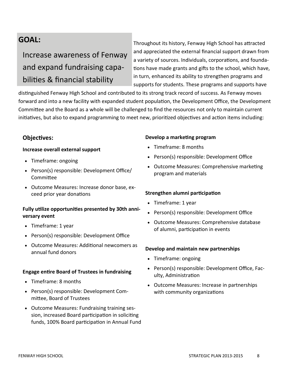## Increase awareness of Fenway and expand fundraising capabilities & financial stability

Throughout its history, Fenway High School has attracted and appreciated the external financial support drawn from a variety of sources. Individuals, corporations, and foundations have made grants and gifts to the school, which have, in turn, enhanced its ability to strengthen programs and supports for students. These programs and supports have

distinguished Fenway High School and contributed to its strong track record of success. As Fenway moves forward and into a new facility with expanded student population, the Development Office, the Development Committee and the Board as a whole will be challenged to find the resources not only to maintain current initiatives, but also to expand programming to meet new, prioritized objectives and action items including:

## **Objectives:**

#### **Increase overall external support**

- Timeframe: ongoing
- Person(s) responsible: Development Office/ Committee
- Outcome Measures: Increase donor base, exceed prior year donations

## **Fully utilize opportunities presented by 30th anniversary event**

- Timeframe: 1 year
- Person(s) responsible: Development Office
- Outcome Measures: Additional newcomers as annual fund donors

### **Engage entire Board of Trustees in fundraising**

- Timeframe: 8 months
- Person(s) responsible: Development Committee, Board of Trustees
- Outcome Measures: Fundraising training session, increased Board participation in soliciting funds, 100% Board participation in Annual Fund

#### **Develop a marketing program**

- Timeframe: 8 months
- Person(s) responsible: Development Office
- Outcome Measures: Comprehensive marketing program and materials

#### **Strengthen alumni participation**

- Timeframe: 1 year
- Person(s) responsible: Development Office
- Outcome Measures: Comprehensive database of alumni, participation in events

#### **Develop and maintain new partnerships**

- Timeframe: ongoing
- Person(s) responsible: Development Office, Faculty, Administration
- Outcome Measures: Increase in partnerships with community organizations